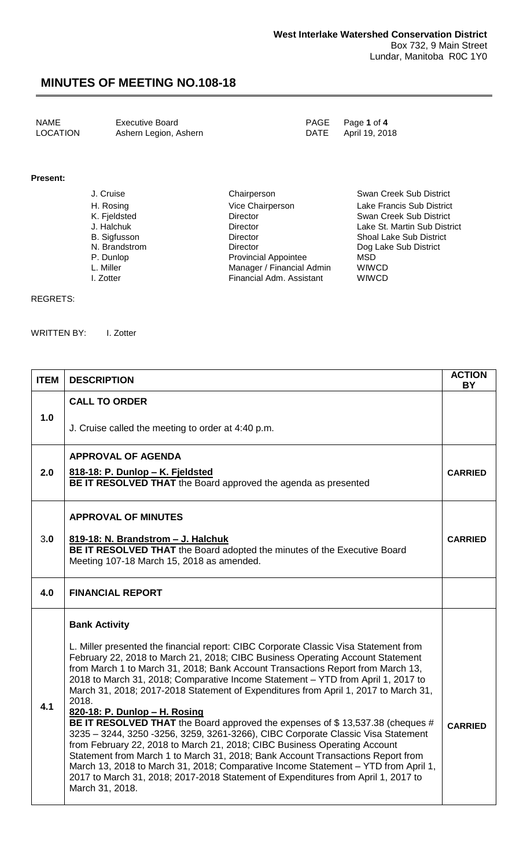NAME Executive Board<br>
LOCATION Ashern Legion, Ashern **PAGE** Page 1 of 4<br>
DATE April 19, 2018 Ashern Legion, Ashern

### **Present:**

| J. Cruise     | Chairperson                 | Swan Creek Sub District        |
|---------------|-----------------------------|--------------------------------|
| H. Rosing     | Vice Chairperson            | Lake Francis Sub District      |
| K. Fjeldsted  | <b>Director</b>             | Swan Creek Sub District        |
| J. Halchuk    | <b>Director</b>             | Lake St. Martin Sub District   |
| B. Sigfusson  | <b>Director</b>             | <b>Shoal Lake Sub District</b> |
| N. Brandstrom | <b>Director</b>             | Dog Lake Sub District          |
| P. Dunlop     | <b>Provincial Appointee</b> | MSD                            |
| L. Miller     | Manager / Financial Admin   | <b>WIWCD</b>                   |
| I. Zotter     | Financial Adm. Assistant    | <b>WIWCD</b>                   |

#### REGRETS:

WRITTEN BY: I. Zotter

| <b>ITEM</b> | <b>DESCRIPTION</b>                                                                                                                                                                                                                                                                                                                                                                                                                                                                                                               | <b>ACTION</b><br><b>BY</b> |
|-------------|----------------------------------------------------------------------------------------------------------------------------------------------------------------------------------------------------------------------------------------------------------------------------------------------------------------------------------------------------------------------------------------------------------------------------------------------------------------------------------------------------------------------------------|----------------------------|
| 1.0         | <b>CALL TO ORDER</b>                                                                                                                                                                                                                                                                                                                                                                                                                                                                                                             |                            |
|             | J. Cruise called the meeting to order at 4:40 p.m.                                                                                                                                                                                                                                                                                                                                                                                                                                                                               |                            |
|             | <b>APPROVAL OF AGENDA</b>                                                                                                                                                                                                                                                                                                                                                                                                                                                                                                        |                            |
| 2.0         | 818-18: P. Dunlop - K. Fjeldsted<br>BE IT RESOLVED THAT the Board approved the agenda as presented                                                                                                                                                                                                                                                                                                                                                                                                                               | <b>CARRIED</b>             |
|             | <b>APPROVAL OF MINUTES</b>                                                                                                                                                                                                                                                                                                                                                                                                                                                                                                       |                            |
| 3.0         | 819-18: N. Brandstrom - J. Halchuk<br>BE IT RESOLVED THAT the Board adopted the minutes of the Executive Board<br>Meeting 107-18 March 15, 2018 as amended.                                                                                                                                                                                                                                                                                                                                                                      | <b>CARRIED</b>             |
| 4.0         | <b>FINANCIAL REPORT</b>                                                                                                                                                                                                                                                                                                                                                                                                                                                                                                          |                            |
|             | <b>Bank Activity</b><br>L. Miller presented the financial report: CIBC Corporate Classic Visa Statement from<br>February 22, 2018 to March 21, 2018; CIBC Business Operating Account Statement                                                                                                                                                                                                                                                                                                                                   |                            |
| 4.1         | from March 1 to March 31, 2018; Bank Account Transactions Report from March 13,<br>2018 to March 31, 2018; Comparative Income Statement - YTD from April 1, 2017 to<br>March 31, 2018; 2017-2018 Statement of Expenditures from April 1, 2017 to March 31,<br>2018.<br>820-18: P. Dunlop - H. Rosing                                                                                                                                                                                                                             |                            |
|             | BE IT RESOLVED THAT the Board approved the expenses of \$13,537.38 (cheques #<br>3235 - 3244, 3250 - 3256, 3259, 3261-3266), CIBC Corporate Classic Visa Statement<br>from February 22, 2018 to March 21, 2018; CIBC Business Operating Account<br>Statement from March 1 to March 31, 2018; Bank Account Transactions Report from<br>March 13, 2018 to March 31, 2018; Comparative Income Statement - YTD from April 1,<br>2017 to March 31, 2018; 2017-2018 Statement of Expenditures from April 1, 2017 to<br>March 31, 2018. | <b>CARRIED</b>             |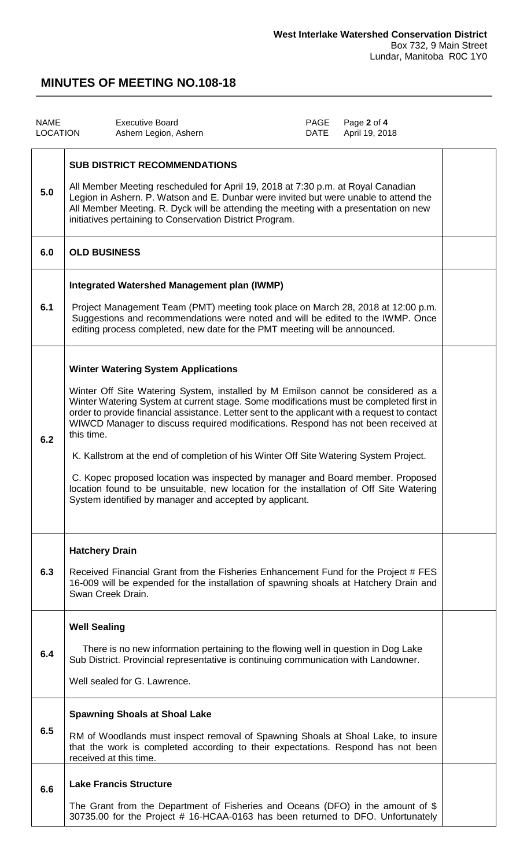| <b>NAME</b><br><b>LOCATION</b> | <b>Executive Board</b><br>Ashern Legion, Ashern                                                                                                                                                                                                                                                                                                                                                                                                                                                                                                                                                                                                                                                                                                                | PAGE<br>DATE | Page 2 of 4<br>April 19, 2018 |  |
|--------------------------------|----------------------------------------------------------------------------------------------------------------------------------------------------------------------------------------------------------------------------------------------------------------------------------------------------------------------------------------------------------------------------------------------------------------------------------------------------------------------------------------------------------------------------------------------------------------------------------------------------------------------------------------------------------------------------------------------------------------------------------------------------------------|--------------|-------------------------------|--|
| 5.0                            | <b>SUB DISTRICT RECOMMENDATIONS</b><br>All Member Meeting rescheduled for April 19, 2018 at 7:30 p.m. at Royal Canadian<br>Legion in Ashern. P. Watson and E. Dunbar were invited but were unable to attend the<br>All Member Meeting. R. Dyck will be attending the meeting with a presentation on new<br>initiatives pertaining to Conservation District Program.                                                                                                                                                                                                                                                                                                                                                                                            |              |                               |  |
| 6.0                            | <b>OLD BUSINESS</b>                                                                                                                                                                                                                                                                                                                                                                                                                                                                                                                                                                                                                                                                                                                                            |              |                               |  |
| 6.1                            | Integrated Watershed Management plan (IWMP)<br>Project Management Team (PMT) meeting took place on March 28, 2018 at 12:00 p.m.<br>Suggestions and recommendations were noted and will be edited to the IWMP. Once<br>editing process completed, new date for the PMT meeting will be announced.                                                                                                                                                                                                                                                                                                                                                                                                                                                               |              |                               |  |
| 6.2                            | <b>Winter Watering System Applications</b><br>Winter Off Site Watering System, installed by M Emilson cannot be considered as a<br>Winter Watering System at current stage. Some modifications must be completed first in<br>order to provide financial assistance. Letter sent to the applicant with a request to contact<br>WIWCD Manager to discuss required modifications. Respond has not been received at<br>this time.<br>K. Kallstrom at the end of completion of his Winter Off Site Watering System Project.<br>C. Kopec proposed location was inspected by manager and Board member. Proposed<br>location found to be unsuitable, new location for the installation of Off Site Watering<br>System identified by manager and accepted by applicant. |              |                               |  |
| 6.3                            | <b>Hatchery Drain</b><br>Received Financial Grant from the Fisheries Enhancement Fund for the Project # FES<br>16-009 will be expended for the installation of spawning shoals at Hatchery Drain and<br>Swan Creek Drain.                                                                                                                                                                                                                                                                                                                                                                                                                                                                                                                                      |              |                               |  |
| 6.4                            | <b>Well Sealing</b><br>There is no new information pertaining to the flowing well in question in Dog Lake<br>Sub District. Provincial representative is continuing communication with Landowner.<br>Well sealed for G. Lawrence.                                                                                                                                                                                                                                                                                                                                                                                                                                                                                                                               |              |                               |  |
| 6.5                            | <b>Spawning Shoals at Shoal Lake</b><br>RM of Woodlands must inspect removal of Spawning Shoals at Shoal Lake, to insure<br>that the work is completed according to their expectations. Respond has not been<br>received at this time.                                                                                                                                                                                                                                                                                                                                                                                                                                                                                                                         |              |                               |  |
| 6.6                            | <b>Lake Francis Structure</b><br>The Grant from the Department of Fisheries and Oceans (DFO) in the amount of \$<br>30735.00 for the Project # 16-HCAA-0163 has been returned to DFO. Unfortunately                                                                                                                                                                                                                                                                                                                                                                                                                                                                                                                                                            |              |                               |  |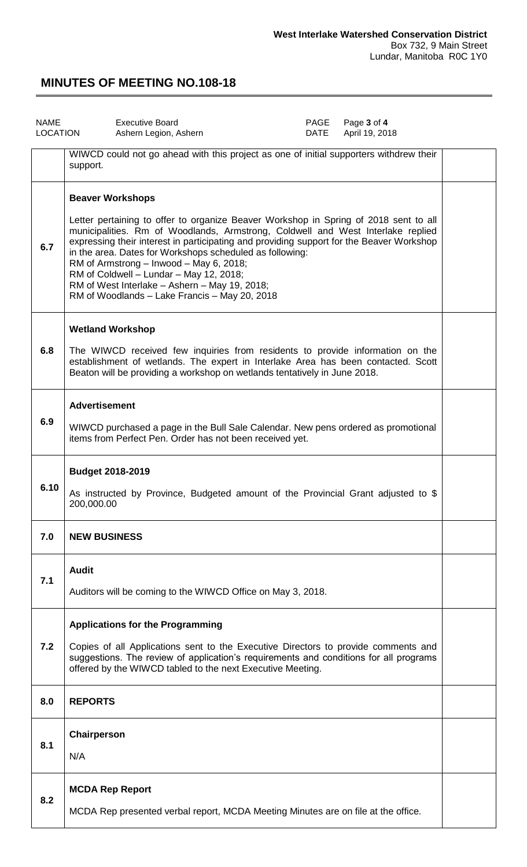| <b>NAME</b><br><b>LOCATION</b> | <b>Executive Board</b><br>PAGE<br>Page 3 of 4<br>April 19, 2018<br>Ashern Legion, Ashern<br>DATE                                                                                                                                                                                                                                                                                                                                                                                                                                                   |  |  |  |
|--------------------------------|----------------------------------------------------------------------------------------------------------------------------------------------------------------------------------------------------------------------------------------------------------------------------------------------------------------------------------------------------------------------------------------------------------------------------------------------------------------------------------------------------------------------------------------------------|--|--|--|
|                                | WIWCD could not go ahead with this project as one of initial supporters withdrew their<br>support.                                                                                                                                                                                                                                                                                                                                                                                                                                                 |  |  |  |
| 6.7                            | <b>Beaver Workshops</b><br>Letter pertaining to offer to organize Beaver Workshop in Spring of 2018 sent to all<br>municipalities. Rm of Woodlands, Armstrong, Coldwell and West Interlake replied<br>expressing their interest in participating and providing support for the Beaver Workshop<br>in the area. Dates for Workshops scheduled as following:<br>RM of Armstrong - Inwood - May 6, 2018;<br>RM of Coldwell - Lundar - May 12, 2018;<br>RM of West Interlake - Ashern - May 19, 2018;<br>RM of Woodlands - Lake Francis - May 20, 2018 |  |  |  |
| 6.8                            | <b>Wetland Workshop</b><br>The WIWCD received few inquiries from residents to provide information on the<br>establishment of wetlands. The expert in Interlake Area has been contacted. Scott<br>Beaton will be providing a workshop on wetlands tentatively in June 2018.                                                                                                                                                                                                                                                                         |  |  |  |
| 6.9                            | <b>Advertisement</b><br>WIWCD purchased a page in the Bull Sale Calendar. New pens ordered as promotional<br>items from Perfect Pen. Order has not been received yet.                                                                                                                                                                                                                                                                                                                                                                              |  |  |  |
| 6.10                           | <b>Budget 2018-2019</b><br>As instructed by Province, Budgeted amount of the Provincial Grant adjusted to \$<br>200,000.00                                                                                                                                                                                                                                                                                                                                                                                                                         |  |  |  |
| 7.0                            | <b>NEW BUSINESS</b>                                                                                                                                                                                                                                                                                                                                                                                                                                                                                                                                |  |  |  |
| 7.1                            | <b>Audit</b><br>Auditors will be coming to the WIWCD Office on May 3, 2018.                                                                                                                                                                                                                                                                                                                                                                                                                                                                        |  |  |  |
| 7.2                            | <b>Applications for the Programming</b><br>Copies of all Applications sent to the Executive Directors to provide comments and<br>suggestions. The review of application's requirements and conditions for all programs<br>offered by the WIWCD tabled to the next Executive Meeting.                                                                                                                                                                                                                                                               |  |  |  |
| 8.0                            | <b>REPORTS</b>                                                                                                                                                                                                                                                                                                                                                                                                                                                                                                                                     |  |  |  |
| 8.1                            | Chairperson<br>N/A                                                                                                                                                                                                                                                                                                                                                                                                                                                                                                                                 |  |  |  |
| 8.2                            | <b>MCDA Rep Report</b><br>MCDA Rep presented verbal report, MCDA Meeting Minutes are on file at the office.                                                                                                                                                                                                                                                                                                                                                                                                                                        |  |  |  |